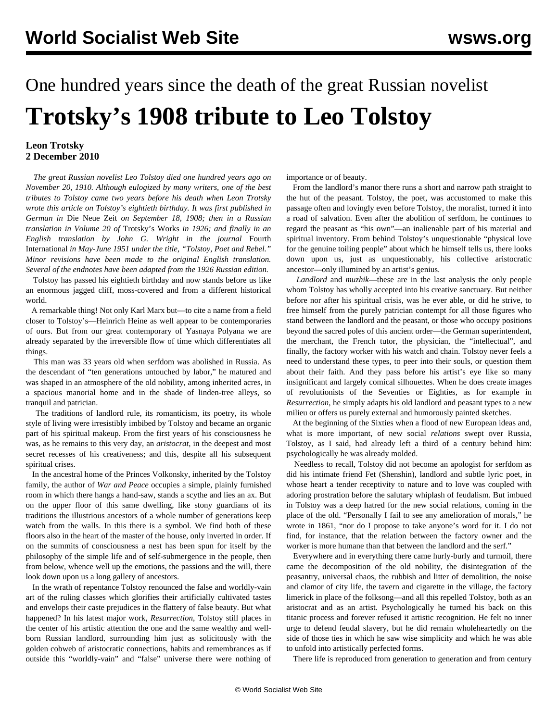## One hundred years since the death of the great Russian novelist **Trotsky's 1908 tribute to Leo Tolstoy**

## **Leon Trotsky 2 December 2010**

 *The great Russian novelist Leo Tolstoy died one hundred years ago on November 20, 1910. Although eulogized by many writers, one of the best tributes to Tolstoy came two years before his death when Leon Trotsky wrote this article on Tolstoy's eightieth birthday. It was first published in German in* Die Neue Zeit *on September 18, 1908; then in a Russian translation in Volume 20 of* Trotsky's Works *in 1926; and finally in an English translation by John G. Wright in the journal* Fourth International *in May-June 1951 under the title, "Tolstoy, Poet and Rebel." Minor revisions have been made to the original English translation. Several of the endnotes have been adapted from the 1926 Russian edition.*

 Tolstoy has passed his eightieth birthday and now stands before us like an enormous jagged cliff, moss-covered and from a different historical world.

 A remarkable thing! Not only Karl Marx but—to cite a name from a field closer to Tolstoy's—Heinrich Heine as well appear to be contemporaries of ours. But from our great contemporary of Yasnaya Polyana we are already separated by the irreversible flow of time which differentiates all things.

 This man was 33 years old when serfdom was abolished in Russia. As the descendant of "ten generations untouched by labor," he matured and was shaped in an atmosphere of the old nobility, among inherited acres, in a spacious manorial home and in the shade of linden-tree alleys, so tranquil and patrician.

 The traditions of landlord rule, its romanticism, its poetry, its whole style of living were irresistibly imbibed by Tolstoy and became an organic part of his spiritual makeup. From the first years of his consciousness he was, as he remains to this very day, an *aristocrat*, in the deepest and most secret recesses of his creativeness; and this, despite all his subsequent spiritual crises.

 In the ancestral home of the Princes Volkonsky, inherited by the Tolstoy family, the author of *War and Peace* occupies a simple, plainly furnished room in which there hangs a hand-saw, stands a scythe and lies an ax. But on the upper floor of this same dwelling, like stony guardians of its traditions the illustrious ancestors of a whole number of generations keep watch from the walls. In this there is a symbol. We find both of these floors also in the heart of the master of the house, only inverted in order. If on the summits of consciousness a nest has been spun for itself by the philosophy of the simple life and of self-submergence in the people, then from below, whence well up the emotions, the passions and the will, there look down upon us a long gallery of ancestors.

 In the wrath of repentance Tolstoy renounced the false and worldly-vain art of the ruling classes which glorifies their artificially cultivated tastes and envelops their caste prejudices in the flattery of false beauty. But what happened? In his latest major work, *Resurrection*, Tolstoy still places in the center of his artistic attention the one and the same wealthy and wellborn Russian landlord, surrounding him just as solicitously with the golden cobweb of aristocratic connections, habits and remembrances as if outside this "worldly-vain" and "false" universe there were nothing of importance or of beauty.

 From the landlord's manor there runs a short and narrow path straight to the hut of the peasant. Tolstoy, the poet, was accustomed to make this passage often and lovingly even before Tolstoy, the moralist, turned it into a road of salvation. Even after the abolition of serfdom, he continues to regard the peasant as "his own"—an inalienable part of his material and spiritual inventory. From behind Tolstoy's unquestionable "physical love for the genuine toiling people" about which he himself tells us, there looks down upon us, just as unquestionably, his collective aristocratic ancestor—only illumined by an artist's genius.

 *Landlord* and *muzhik*—these are in the last analysis the only people whom Tolstoy has wholly accepted into his creative sanctuary. But neither before nor after his spiritual crisis, was he ever able, or did he strive, to free himself from the purely patrician contempt for all those figures who stand between the landlord and the peasant, or those who occupy positions beyond the sacred poles of this ancient order—the German superintendent, the merchant, the French tutor, the physician, the "intellectual", and finally, the factory worker with his watch and chain. Tolstoy never feels a need to understand these types, to peer into their souls, or question them about their faith. And they pass before his artist's eye like so many insignificant and largely comical silhouettes. When he does create images of revolutionists of the Seventies or Eighties, as for example in *Resurrection*, he simply adapts his old landlord and peasant types to a new milieu or offers us purely external and humorously painted sketches.

 At the beginning of the Sixties when a flood of new European ideas and, what is more important, of new social *relations* swept over Russia, Tolstoy, as I said, had already left a third of a century behind him: psychologically he was already molded.

 Needless to recall, Tolstoy did not become an apologist for serfdom as did his intimate friend Fet (Shenshin), landlord and subtle lyric poet, in whose heart a tender receptivity to nature and to love was coupled with adoring prostration before the salutary whiplash of feudalism. But imbued in Tolstoy was a deep hatred for the new social relations, coming in the place of the old. "Personally I fail to see any amelioration of morals," he wrote in 1861, "nor do I propose to take anyone's word for it. I do not find, for instance, that the relation between the factory owner and the worker is more humane than that between the landlord and the serf."

 Everywhere and in everything there came hurly-burly and turmoil, there came the decomposition of the old nobility, the disintegration of the peasantry, universal chaos, the rubbish and litter of demolition, the noise and clamor of city life, the tavern and cigarette in the village, the factory limerick in place of the folksong—and all this repelled Tolstoy, both as an aristocrat and as an artist. Psychologically he turned his back on this titanic process and forever refused it artistic recognition. He felt no inner urge to defend feudal slavery, but he did remain wholeheartedly on the side of those ties in which he saw wise simplicity and which he was able to unfold into artistically perfected forms.

There life is reproduced from generation to generation and from century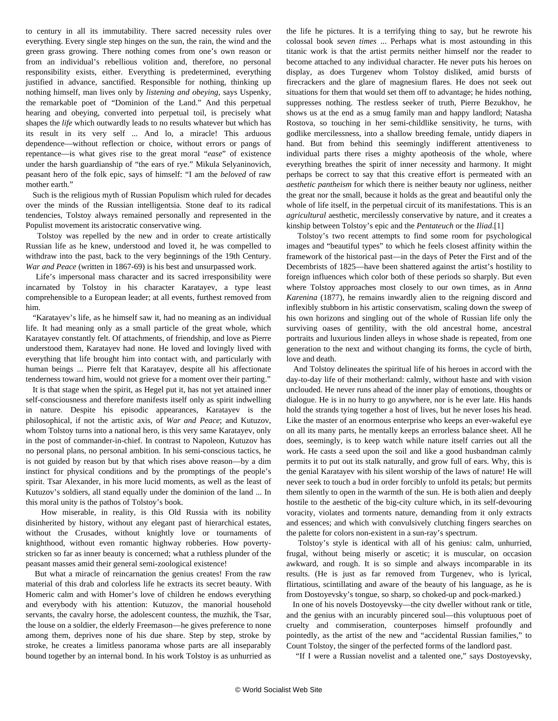to century in all its immutability. There sacred necessity rules over everything. Every single step hinges on the sun, the rain, the wind and the green grass growing. There nothing comes from one's own reason or from an individual's rebellious volition and, therefore, no personal responsibility exists, either. Everything is predetermined, everything justified in advance, sanctified. Responsible for nothing, thinking up nothing himself, man lives only by *listening and obeying*, says Uspenky, the remarkable poet of "Dominion of the Land." And this perpetual hearing and obeying, converted into perpetual toil, is precisely what shapes the *life* which outwardly leads to no results whatever but which has its result in its very self ... And lo, a miracle! This arduous dependence—without reflection or choice, without errors or pangs of repentance—is what gives rise to the great moral "*ease*" of existence under the harsh guardianship of "the ears of rye." Mikula Selyaninovich, peasant hero of the folk epic, says of himself: "I am the *beloved* of raw mother earth."

 Such is the religious myth of Russian Populism which ruled for decades over the minds of the Russian intelligentsia. Stone deaf to its radical tendencies, Tolstoy always remained personally and represented in the Populist movement its aristocratic conservative wing.

 Tolstoy was repelled by the new and in order to create artistically Russian life as he knew, understood and loved it, he was compelled to withdraw into the past, back to the very beginnings of the 19th Century. *War and Peace* (written in 1867-69) is his best and unsurpassed work.

 Life's impersonal mass character and its sacred irresponsibility were incarnated by Tolstoy in his character Karatayev, a type least comprehensible to a European leader; at all events, furthest removed from him.

 "Karatayev's life, as he himself saw it, had no meaning as an individual life. It had meaning only as a small particle of the great whole, which Karatayev constantly felt. Of attachments, of friendship, and love as Pierre understood them, Karatayev had none. He loved and lovingly lived with everything that life brought him into contact with, and particularly with human beings ... Pierre felt that Karatayev, despite all his affectionate tenderness toward him, would not grieve for a moment over their parting."

 It is that stage when the spirit, as Hegel put it, has not yet attained inner self-consciousness and therefore manifests itself only as spirit indwelling in nature. Despite his episodic appearances, Karatayev is the philosophical, if not the artistic axis, of *War and Peace*; and Kutuzov, whom Tolstoy turns into a national hero, is this very same Karatayev, only in the post of commander-in-chief. In contrast to Napoleon, Kutuzov has no personal plans, no personal ambition. In his semi-conscious tactics, he is not guided by reason but by that which rises above reason—by a dim instinct for physical conditions and by the promptings of the people's spirit. Tsar Alexander, in his more lucid moments, as well as the least of Kutuzov's soldiers, all stand equally under the dominion of the land ... In this moral unity is the pathos of Tolstoy's book.

 How miserable, in reality, is this Old Russia with its nobility disinherited by history, without any elegant past of hierarchical estates, without the Crusades, without knightly love or tournaments of knighthood, without even romantic highway robberies. How povertystricken so far as inner beauty is concerned; what a ruthless plunder of the peasant masses amid their general semi-zoological existence!

 But what a miracle of reincarnation the genius creates! From the raw material of this drab and colorless life he extracts its secret beauty. With Homeric calm and with Homer's love of children he endows everything and everybody with his attention: Kutuzov, the manorial household servants, the cavalry horse, the adolescent countess, the muzhik, the Tsar, the louse on a soldier, the elderly Freemason—he gives preference to none among them, deprives none of his due share. Step by step, stroke by stroke, he creates a limitless panorama whose parts are all inseparably bound together by an internal bond. In his work Tolstoy is as unhurried as

the life he pictures. It is a terrifying thing to say, but he rewrote his colossal book *seven times* ... Perhaps what is most astounding in this titanic work is that the artist permits neither himself nor the reader to become attached to any individual character. He never puts his heroes on display, as does Turgenev whom Tolstoy disliked, amid bursts of firecrackers and the glare of magnesium flares. He does not seek out situations for them that would set them off to advantage; he hides nothing, suppresses nothing. The restless seeker of truth, Pierre Bezukhov, he shows us at the end as a smug family man and happy landlord; Natasha Rostova, so touching in her semi-childlike sensitivity, he turns, with godlike mercilessness, into a shallow breeding female, untidy diapers in hand. But from behind this seemingly indifferent attentiveness to individual parts there rises a mighty apotheosis of the whole, where everything breathes the spirit of inner necessity and harmony. It might perhaps be correct to say that this creative effort is permeated with an *aesthetic pantheism* for which there is neither beauty nor ugliness, neither the great nor the small, because it holds as the great and beautiful only the whole of life itself, in the perpetual circuit of its manifestations. This is an *agricultural* aesthetic, mercilessly conservative by nature, and it creates a kinship between Tolstoy's epic and the *Pentateuch* or the *Iliad*.[1]

 Tolstoy's two recent attempts to find some room for psychological images and "beautiful types" to which he feels closest affinity within the framework of the historical past—in the days of Peter the First and of the Decembrists of 1825—have been shattered against the artist's hostility to foreign influences which color both of these periods so sharply. But even where Tolstoy approaches most closely to our own times, as in *Anna Karenina* (1877), he remains inwardly alien to the reigning discord and inflexibly stubborn in his artistic conservatism, scaling down the sweep of his own horizons and singling out of the whole of Russian life only the surviving oases of gentility, with the old ancestral home, ancestral portraits and luxurious linden alleys in whose shade is repeated, from one generation to the next and without changing its forms, the cycle of birth, love and death.

 And Tolstoy delineates the spiritual life of his heroes in accord with the day-to-day life of their motherland: calmly, without haste and with vision unclouded. He never runs ahead of the inner play of emotions, thoughts or dialogue. He is in no hurry to go anywhere, nor is he ever late. His hands hold the strands tying together a host of lives, but he never loses his head. Like the master of an enormous enterprise who keeps an ever-wakeful eye on all its many parts, he mentally keeps an errorless balance sheet. All he does, seemingly, is to keep watch while nature itself carries out all the work. He casts a seed upon the soil and like a good husbandman calmly permits it to put out its stalk naturally, and grow full of ears. Why, this is the genial Karatayev with his silent worship of the laws of nature! He will never seek to touch a bud in order forcibly to unfold its petals; but permits them silently to open in the warmth of the sun. He is both alien and deeply hostile to the aesthetic of the big-city culture which, in its self-devouring voracity, violates and torments nature, demanding from it only extracts and essences; and which with convulsively clutching fingers searches on the palette for colors non-existent in a sun-ray's spectrum.

 Tolstoy's style is identical with all of his genius: calm, unhurried, frugal, without being miserly or ascetic; it is muscular, on occasion awkward, and rough. It is so simple and always incomparable in its results. (He is just as far removed from Turgenev, who is lyrical, flirtatious, scintillating and aware of the beauty of his language, as he is from Dostoyevsky's tongue, so sharp, so choked-up and pock-marked.)

 In one of his novels Dostoyevsky—the city dweller without rank or title, and the genius with an incurably pincered soul—this voluptuous poet of cruelty and commiseration, counterposes himself profoundly and pointedly, as the artist of the new and "accidental Russian families," to Count Tolstoy, the singer of the perfected forms of the landlord past.

"If I were a Russian novelist and a talented one," says Dostoyevsky,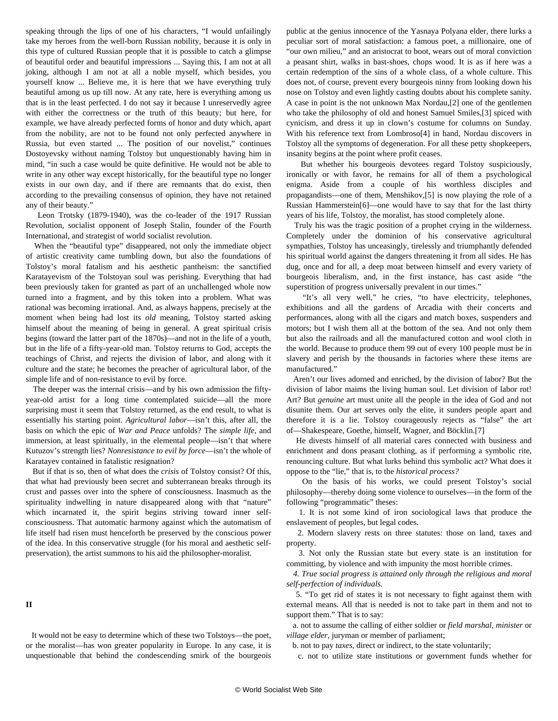speaking through the lips of one of his characters, "I would unfailingly take my heroes from the well-born Russian nobility, because it is only in this type of cultured Russian people that it is possible to catch a glimpse of beautiful order and beautiful impressions ... Saying this, I am not at all joking, although I am not at all a noble myself, which besides, you yourself know ... Believe me, it is here that we have everything truly beautiful among us up till now. At any rate, here is everything among us that is in the least perfected. I do not say it because I unreservedly agree with either the correctness or the truth of this beauty; but here, for example, we have already perfected forms of honor and duty which, apart from the nobility, are not to be found not only perfected anywhere in Russia, but even started ... The position of our novelist," continues Dostoyevsky without naming Tolstoy but unquestionably having him in mind, "in such a case would be quite definitive. He would not be able to write in any other way except historically, for the beautiful type no longer exists in our own day, and if there are remnants that do exist, then according to the prevailing consensus of opinion, they have not retained any of their beauty."

 Leon Trotsky (1879-1940), was the co-leader of the 1917 Russian Revolution, socialist opponent of Joseph Stalin, founder of the Fourth International, and strategist of world socialist revolution.

 When the "beautiful type" disappeared, not only the immediate object of artistic creativity came tumbling down, but also the foundations of Tolstoy's moral fatalism and his aesthetic pantheism: the sanctified Karatayevism of the Tolstoyan soul was perishing. Everything that had been previously taken for granted as part of an unchallenged whole now turned into a fragment, and by this token into a problem. What was rational was becoming irrational. And, as always happens, precisely at the moment when being had lost its *old* meaning, Tolstoy started asking himself about the meaning of being in general. A great spiritual crisis begins (toward the latter part of the 1870s)—and not in the life of a youth, but in the life of a fifty-year-old man. Tolstoy returns to God, accepts the teachings of Christ, and rejects the division of labor, and along with it culture and the state; he becomes the preacher of agricultural labor, of the simple life and of non-resistance to evil by force.

 The deeper was the internal crisis—and by his own admission the fiftyyear-old artist for a long time contemplated suicide—all the more surprising must it seem that Tolstoy returned, as the end result, to what is essentially his starting point. *Agricultural labor*—isn't this, after all, the basis on which the epic of *War and Peace* unfolds? The *simple life*, and immersion, at least spiritually, in the elemental people—isn't that where Kutuzov's strength lies? *Nonresistance to evil by force*—isn't the whole of Karatayev contained in fatalistic resignation?

 But if that is so, then of what does the *crisis* of Tolstoy consist? Of this, that what had previously been secret and subterranean breaks through its crust and passes over into the sphere of consciousness. Inasmuch as the spirituality indwelling in nature disappeared along with that "nature" which incarnated it, the spirit begins striving toward inner selfconsciousness. That automatic harmony against which the automatism of life itself had risen must henceforth be preserved by the conscious power of the idea. In this conservative struggle (for his moral and aesthetic selfpreservation), the artist summons to his aid the philosopher-moralist.

**II**

 It would not be easy to determine which of these two Tolstoys—the poet, or the moralist—has won greater popularity in Europe. In any case, it is unquestionable that behind the condescending smirk of the bourgeois public at the genius innocence of the Yasnaya Polyana elder, there lurks a peculiar sort of moral satisfaction: a famous poet, a millionaire, one of "our own milieu," and an aristocrat to boot, wears out of moral conviction a peasant shirt, walks in bast-shoes, chops wood. It is as if here was a certain redemption of the sins of a whole class, of a whole culture. This does not, of course, prevent every bourgeois ninny from looking down his nose on Tolstoy and even lightly casting doubts about his complete sanity. A case in point is the not unknown Max Nordau,[2] one of the gentlemen who take the philosophy of old and honest Samuel Smiles,[3] spiced with cynicism, and dress it up in clown's costume for columns on Sunday. With his reference text from Lombroso[4] in hand, Nordau discovers in Tolstoy all the symptoms of degeneration. For all these petty shopkeepers, insanity begins at the point where profit ceases.

 But whether his bourgeois devotees regard Tolstoy suspiciously, ironically or with favor, he remains for all of them a psychological enigma. Aside from a couple of his worthless disciples and propagandists—one of them, Menshikov,[5] is now playing the role of a Russian Hammerstein[6]—one would have to say that for the last thirty years of his life, Tolstoy, the moralist, has stood completely alone.

 Truly his was the tragic position of a prophet crying in the wilderness. Completely under the dominion of his conservative agricultural sympathies, Tolstoy has unceasingly, tirelessly and triumphantly defended his spiritual world against the dangers threatening it from all sides. He has dug, once and for all, a deep moat between himself and every variety of bourgeois liberalism, and, in the first instance, has cast aside "the superstition of progress universally prevalent in our times."

 "It's all very well," he cries, "to have electricity, telephones, exhibitions and all the gardens of Arcadia with their concerts and performances, along with all the cigars and match boxes, suspenders and motors; but I wish them all at the bottom of the sea. And not only them but also the railroads and all the manufactured cotton and wool cloth in the world. Because to produce them 99 out of every 100 people must be in slavery and perish by the thousands in factories where these items are manufactured."

 Aren't our lives adorned and enriched, by the division of labor? But the division of labor maims the living human soul. Let division of labor rot! Art? But *genuine* art must unite all the people in the idea of God and not disunite them. Our art serves only the elite, it sunders people apart and therefore it is a lie. Tolstoy courageously rejects as "false" the art of—Shakespeare, Goethe, himself, Wagner, and Böcklin.[7]

 He divests himself of all material cares connected with business and enrichment and dons peasant clothing, as if performing a symbolic rite, renouncing culture. But what lurks behind this symbolic act? What does it oppose to the "lie," that is, to the *historical process?*

 On the basis of his works, we could present Tolstoy's social philosophy—thereby doing some violence to ourselves—in the form of the following "programmatic" theses:

 1. It is not some kind of iron sociological laws that produce the enslavement of peoples, but legal codes.

 2. Modern slavery rests on three statutes: those on land, taxes and property.

 3. Not only the Russian state but every state is an institution for committing, by violence and with impunity the most horrible crimes.

 *4. True social progress is attained only through the religious and moral self-perfection of individuals.*

 5. "To get rid of states it is not necessary to fight against them with external means. All that is needed is not to take part in them and not to support them." That is to say:

 a. not to assume the calling of either soldier or *field marshal*, *minister* or *village elder*, juryman or member of parliament;

b. not to pay *taxes*, direct or indirect, to the state voluntarily;

c. not to utilize state institutions or government funds whether for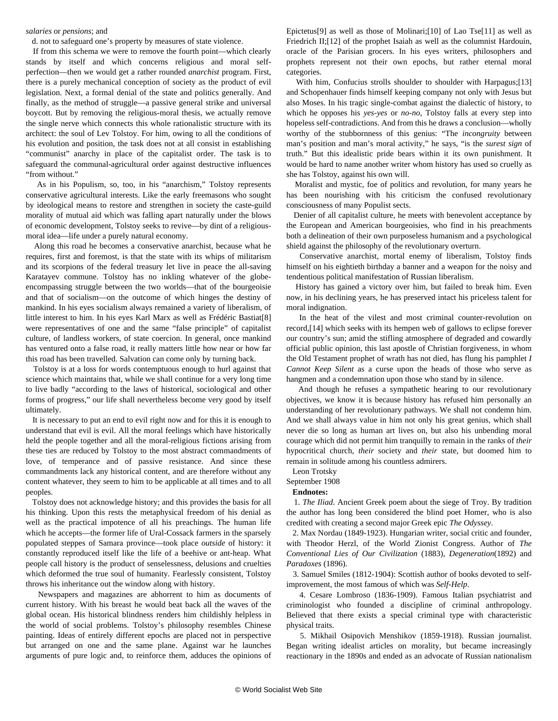## *salaries* or *pensions*; and

d. not to safeguard one's property by measures of state violence.

 If from this schema we were to remove the fourth point—which clearly stands by itself and which concerns religious and moral selfperfection—then we would get a rather rounded *anarchist* program. First, there is a purely mechanical conception of society as the product of evil legislation. Next, a formal denial of the state and politics generally. And finally, as the method of struggle—a passive general strike and universal boycott. But by removing the religious-moral thesis, we actually remove the single nerve which connects this whole rationalistic structure with its architect: the soul of Lev Tolstoy. For him, owing to all the conditions of his evolution and position, the task does not at all consist in establishing "communist" anarchy in place of the capitalist order. The task is to safeguard the communal-agricultural order against destructive influences "from without."

 As in his Populism, so, too, in his "anarchism," Tolstoy represents conservative agricultural interests. Like the early freemasons who sought by ideological means to restore and strengthen in society the caste-guild morality of mutual aid which was falling apart naturally under the blows of economic development, Tolstoy seeks to revive—by dint of a religiousmoral idea—life under a purely natural economy.

 Along this road he becomes a conservative anarchist, because what he requires, first and foremost, is that the state with its whips of militarism and its scorpions of the federal treasury let live in peace the all-saving Karatayev commune. Tolstoy has no inkling whatever of the globeencompassing struggle between the two worlds—that of the bourgeoisie and that of socialism—on the outcome of which hinges the destiny of mankind. In his eyes socialism always remained a variety of liberalism, of little interest to him. In his eyes Karl Marx as well as Frédéric Bastiat[8] were representatives of one and the same "false principle" of capitalist culture, of landless workers, of state coercion. In general, once mankind has ventured onto a false road, it really matters little how near or how far this road has been travelled. Salvation can come only by turning back.

 Tolstoy is at a loss for words contemptuous enough to hurl against that science which maintains that, while we shall continue for a very long time to live badly "according to the laws of historical, sociological and other forms of progress," our life shall nevertheless become very good by itself ultimately.

 It is necessary to put an end to evil right now and for this it is enough to understand that evil is evil. All the moral feelings which have historically held the people together and all the moral-religious fictions arising from these ties are reduced by Tolstoy to the most abstract commandments of love, of temperance and of passive resistance. And since these commandments lack any historical content, and are therefore without any content whatever, they seem to him to be applicable at all times and to all peoples.

 Tolstoy does not acknowledge history; and this provides the basis for all his thinking. Upon this rests the metaphysical freedom of his denial as well as the practical impotence of all his preachings. The human life which he accepts—the former life of Ural-Cossack farmers in the sparsely populated steppes of Samara province—took place *outside* of history: it constantly reproduced itself like the life of a beehive or ant-heap. What people call history is the product of senselessness, delusions and cruelties which deformed the true soul of humanity. Fearlessly consistent, Tolstoy throws his inheritance out the window along with history.

 Newspapers and magazines are abhorrent to him as documents of current history. With his breast he would beat back all the waves of the global ocean. His historical blindness renders him childishly helpless in the world of social problems. Tolstoy's philosophy resembles Chinese painting. Ideas of entirely different epochs are placed not in perspective but arranged on one and the same plane. Against war he launches arguments of pure logic and, to reinforce them, adduces the opinions of Epictetus[9] as well as those of Molinari;[10] of Lao Tse[11] as well as Friedrich II;[12] of the prophet Isaiah as well as the columnist Hardouin, oracle of the Parisian grocers. In his eyes writers, philosophers and prophets represent not their own epochs, but rather eternal moral categories.

With him, Confucius strolls shoulder to shoulder with Harpagus;[13] and Schopenhauer finds himself keeping company not only with Jesus but also Moses. In his tragic single-combat against the dialectic of history, to which he opposes his *yes-yes* or *no-no*, Tolstoy falls at every step into hopeless self-contradictions. And from this he draws a conclusion—wholly worthy of the stubbornness of this genius: "The *incongruity* between man's position and man's moral activity," he says, "is the *surest sign* of truth." But this idealistic pride bears within it its own punishment. It would be hard to name another writer whom history has used so cruelly as she has Tolstoy, against his own will.

 Moralist and mystic, foe of politics and revolution, for many years he has been nourishing with his criticism the confused revolutionary consciousness of many Populist sects.

 Denier of all capitalist culture, he meets with benevolent acceptance by the European and American bourgeoisies, who find in his preachments both a delineation of their own purposeless humanism and a psychological shield against the philosophy of the revolutionary overturn.

 Conservative anarchist, mortal enemy of liberalism, Tolstoy finds himself on his eightieth birthday a banner and a weapon for the noisy and tendentious political manifestation of Russian liberalism.

 History has gained a victory over him, but failed to break him. Even now, in his declining years, he has preserved intact his priceless talent for moral indignation.

 In the heat of the vilest and most criminal counter-revolution on record*,*[14] which seeks with its hempen web of gallows to eclipse forever our country's sun; amid the stifling atmosphere of degraded and cowardly official public opinion, this last apostle of Christian forgiveness, in whom the Old Testament prophet of wrath has not died, has flung his pamphlet *I Cannot Keep Silent* as a curse upon the heads of those who serve as hangmen and a condemnation upon those who stand by in silence.

 And though he refuses a sympathetic hearing to our revolutionary objectives, we know it is because history has refused him personally an understanding of her revolutionary pathways. We shall not condemn him. And we shall always value in him not only his great genius, which shall never die so long as human art lives on, but also his unbending moral courage which did not permit him tranquilly to remain in the ranks of *their* hypocritical church, *their* society and *their* state, but doomed him to remain in solitude among his countless admirers.

Leon Trotsky

September 1908

## **Endnotes:**

 1. *The Iliad*. Ancient Greek poem about the siege of Troy. By tradition the author has long been considered the blind poet Homer, who is also credited with creating a second major Greek epic *The Odyssey*.

 2. Max Nordau (1849-1923). Hungarian writer, social critic and founder, with Theodor Herzl, of the World Zionist Congress. Author of *The Conventional Lies of Our Civilization* (1883), *Degeneration*(1892) and *Paradoxes* (1896).

 3. Samuel Smiles (1812-1904): Scottish author of books devoted to selfimprovement, the most famous of which was *Self-Help*.

 4. Cesare Lombroso (1836-1909). Famous Italian psychiatrist and criminologist who founded a discipline of criminal anthropology. Believed that there exists a special criminal type with characteristic physical traits.

 5. Mikhail Osipovich Menshikov (1859-1918). Russian journalist. Began writing idealist articles on morality, but became increasingly reactionary in the 1890s and ended as an advocate of Russian nationalism